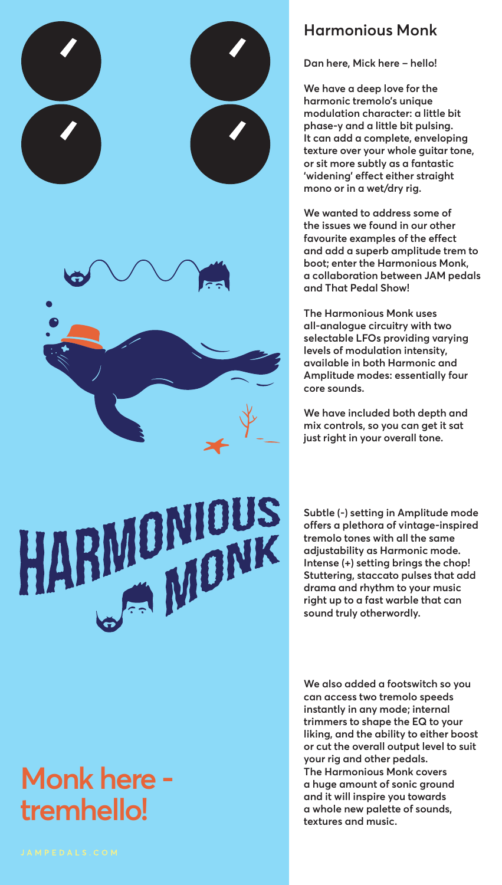

# ONIOUS MIULU

## **Monk here tremhello!**

### **Harmonious Monk**

**Dan here, Mick here – hello!** 

**We have a deep love for the harmonic tremolo's unique modulation character: a little bit phase-y and a little bit pulsing. It can add a complete, enveloping texture over your whole guitar tone, or sit more subtly as a fantastic 'widening' effect either straight mono or in a wet/dry rig.**

**We wanted to address some of the issues we found in our other favourite examples of the effect and add a superb amplitude trem to boot; enter the Harmonious Monk, a collaboration between JAM pedals and That Pedal Show!**

**The Harmonious Monk uses all-analogue circuitry with two selectable LFOs providing varying levels of modulation intensity, available in both Harmonic and Amplitude modes: essentially four core sounds.**

**We have included both depth and mix controls, so you can get it sat just right in your overall tone.**

**Subtle (-) setting in Amplitude mode offers a plethora of vintage-inspired tremolo tones with all the same adjustability as Harmonic mode. Intense (+) setting brings the chop! Stuttering, staccato pulses that add drama and rhythm to your music right up to a fast warble that can sound truly otherwordly.**

**We also added a footswitch so you can access two tremolo speeds instantly in any mode; internal trimmers to shape the EQ to your liking, and the ability to either boost or cut the overall output level to suit your rig and other pedals. The Harmonious Monk covers a huge amount of sonic ground and it will inspire you towards a whole new palette of sounds, textures and music.**